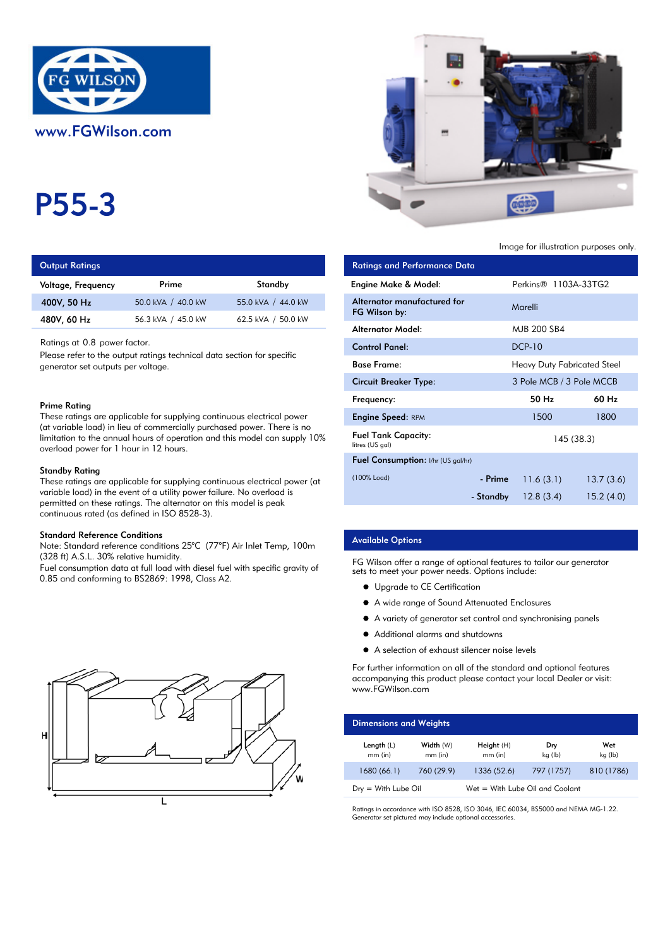

# P55-3

| <b>Output Ratings</b> |                    |                    | <b>Ratings and Performance Data</b> |
|-----------------------|--------------------|--------------------|-------------------------------------|
| Voltage, Frequency    | Prime              | Standby            | <b>Engine Make &amp; Model:</b>     |
| 400V, 50 Hz           | 50.0 kVA / 40.0 kW | 55.0 kVA / 44.0 kW | Alternator manufactured for         |
| 480V, 60 Hz           | 56.3 kVA / 45.0 kW | 62.5 kVA / 50.0 kW | FG Wilson by:                       |

#### Prime Rating

#### Standby Rating

These ratings are applicable for supplying continuous electrical power (at variable load) in the event of a utility power failure. No overload is permitted on these ratings. The alternator on this model is peak continuous rated (as defined in ISO 8528-3).

#### Standard Reference Conditions

Note: Standard reference conditions 25°C (77°F) Air Inlet Temp, 100m (328 ft) A.S.L. 30% relative humidity.

Fuel consumption data at full load with diesel fuel with specific gravity of 0.85 and conforming to BS2869: 1998, Class A2.





Image for illustration purposes only.

| <b>Output Ratings</b>                                                                                                                                                                                                                                                       |                    |                    | <b>Ratings and Performance Data</b>           |                                    |                                    |            |
|-----------------------------------------------------------------------------------------------------------------------------------------------------------------------------------------------------------------------------------------------------------------------------|--------------------|--------------------|-----------------------------------------------|------------------------------------|------------------------------------|------------|
| Voltage, Frequency                                                                                                                                                                                                                                                          | Prime              | Standby            | Engine Make & Model:                          |                                    | Perkins <sup>®</sup> 1103A-33TG2   |            |
| 400V, 50 Hz                                                                                                                                                                                                                                                                 | 50.0 kVA / 40.0 kW | 55.0 kVA / 44.0 kW | Alternator manufactured for<br>FG Wilson by:  |                                    | Marelli                            |            |
| 480V, 60 Hz                                                                                                                                                                                                                                                                 | 56.3 kVA / 45.0 kW | 62.5 kVA / 50.0 kW | <b>Alternator Model:</b>                      |                                    | MJB 200 SB4                        |            |
| Ratings at 0.8 power factor.<br>Please refer to the output ratings technical data section for specific<br>generator set outputs per voltage.                                                                                                                                |                    |                    | <b>Control Panel:</b>                         |                                    | <b>DCP-10</b>                      |            |
|                                                                                                                                                                                                                                                                             |                    |                    | <b>Base Frame:</b>                            |                                    | <b>Heavy Duty Fabricated Steel</b> |            |
|                                                                                                                                                                                                                                                                             |                    |                    | <b>Circuit Breaker Type:</b>                  |                                    | 3 Pole MCB / 3 Pole MCCB           |            |
| Prime Ratina                                                                                                                                                                                                                                                                |                    |                    |                                               |                                    | 50 Hz                              | 60 Hz      |
| These ratings are applicable for supplying continuous electrical power<br>(at variable load) in lieu of commercially purchased power. There is no<br>limitation to the annual hours of operation and this model can supply $10\%$<br>overload power for 1 hour in 12 hours. |                    |                    | <b>Engine Speed: RPM</b>                      |                                    | 1500                               | 1800       |
|                                                                                                                                                                                                                                                                             |                    |                    | <b>Fuel Tank Capacity:</b><br>litres (US gal) |                                    |                                    | 145 (38.3) |
|                                                                                                                                                                                                                                                                             |                    |                    |                                               | Fuel Consumption: I/hr (US gal/hr) |                                    |            |
| Standby Ratina<br>These ratings are applicable for supplying continuous electrical power (at<br>variable load) in the event of a utility power failure. No overload is<br>permitted on these ratinas. The alternator on this model is peak                                  |                    |                    | (100% Load)                                   | - Prime                            | 11.6(3.1)                          | 13.7(3.6)  |
|                                                                                                                                                                                                                                                                             |                    |                    |                                               | - Standby                          | 12.8(3.4)                          | 15.2(4.0)  |

## Available Options

FG Wilson offer a range of optional features to tailor our generator sets to meet your power needs. Options include:

- **•** Upgrade to CE Certification
- A wide range of Sound Attenuated Enclosures
- A variety of generator set control and synchronising panels
- $\bullet$ Additional alarms and shutdowns
- A selection of exhaust silencer noise levels

For further information on all of the standard and optional features accompanying this product please contact your local Dealer or visit: www.FGWilson.com

| <b>Dimensions and Weights</b>   |                      |                                   |                |                |
|---------------------------------|----------------------|-----------------------------------|----------------|----------------|
| Length $(L)$<br>$mm$ (in)       | Width (W)<br>mm (in) | Height $(H)$<br>$mm$ (in)         | Dry<br>kg (lb) | Wet<br>kg (lb) |
| 1680 (66.1)                     | 760 (29.9)           | 1336 (52.6)                       | 797 (1757)     | 810 (1786)     |
| $D_{\text{IV}} =$ With Lube Oil |                      | $Wet = With Lube Oil and Coolant$ |                |                |

Ratings in accordance with ISO 8528, ISO 3046, IEC 60034, BS5000 and NEMA MG-1.22. Generator set pictured may include optional accessories.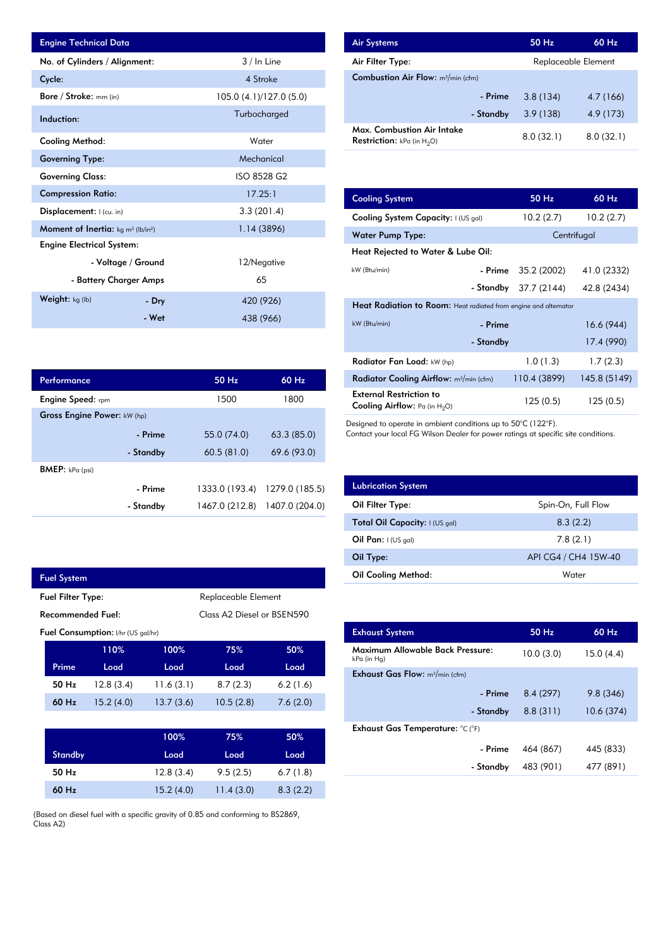| <b>Engine Technical Data</b>                                      |                    |                         | <b>Air Systems</b>               |
|-------------------------------------------------------------------|--------------------|-------------------------|----------------------------------|
| No. of Cylinders / Alignment:                                     |                    | 3 / In Line             | Air Filter Ty                    |
| Cycle:                                                            |                    | 4 Stroke                | <b>Combustion</b>                |
| Bore / Stroke: mm (in)                                            |                    | 105.0 (4.1)/127.0 (5.0) |                                  |
| Induction:                                                        |                    | Turbocharged            |                                  |
| <b>Cooling Method:</b>                                            |                    | Water                   | Max. Comb<br><b>Restriction:</b> |
| <b>Governing Type:</b>                                            |                    | Mechanical              |                                  |
| <b>Governing Class:</b>                                           |                    | ISO 8528 G2             |                                  |
| <b>Compression Ratio:</b>                                         |                    | 17.25:1                 | <b>Cooling Sys</b>               |
| Displacement: I (cu. in)                                          |                    | 3.3(201.4)              | <b>Cooling Sys</b>               |
| <b>Moment of Inertia:</b> kg m <sup>2</sup> (lb/in <sup>2</sup> ) |                    | 1.14(3896)              | Water Pum                        |
| <b>Engine Electrical System:</b>                                  |                    |                         | <b>Heat Reject</b>               |
|                                                                   | - Voltage / Ground | 12/Negative             | kW (Btu/min)                     |
| - Battery Charger Amps                                            |                    | 65                      |                                  |
| Weight: kg (lb)                                                   | - Dry              | 420 (926)               | <b>Heat Radia</b>                |
|                                                                   | - Wet              | 438 (966)               | $kW$ (Btu/min)                   |

| Performance                        |           | $50$ Hz        | 60 Hz          |
|------------------------------------|-----------|----------------|----------------|
| <b>Engine Speed:</b> rpm           |           | 1500           | 1800           |
| <b>Gross Engine Power: kW (hp)</b> |           |                |                |
|                                    | - Prime   | 55.0 (74.0)    | 63.3(85.0)     |
|                                    | - Standby | 60.5(81.0)     | 69.6 (93.0)    |
| <b>BMEP:</b> $kPa$ (psi)           |           |                |                |
|                                    | - Prime   | 1333.0 (193.4) | 1279.0 (185.5) |
|                                    | - Standby | 1467.0 (212.8) | 1407.0 (204.0) |

|                                           | <b>Fuel System</b> |           |                            |                     |          |  |
|-------------------------------------------|--------------------|-----------|----------------------------|---------------------|----------|--|
| <b>Fuel Filter Type:</b>                  |                    |           |                            | Replaceable Element |          |  |
| <b>Recommended Fuel:</b>                  |                    |           | Class A2 Diesel or BSEN590 |                     |          |  |
| <b>Fuel Consumption:</b> I/hr (US gal/hr) |                    |           |                            |                     |          |  |
|                                           |                    | 110%      | 100%                       | 75%                 | 50%      |  |
|                                           | Prime              | Load      | Load                       | Load                | Load     |  |
|                                           | 50 Hz              | 12.8(3.4) | 11.6(3.1)                  | 8.7(2.3)            | 6.2(1.6) |  |
|                                           | 60 Hz              | 15.2(4.0) | 13.7(3.6)                  | 10.5(2.8)           | 7.6(2.0) |  |

L

|                | 100%      | 75%       | 50%      |
|----------------|-----------|-----------|----------|
| <b>Standby</b> | Load      | Load      | Load     |
| 50 Hz          | 12.8(3.4) | 9.5(2.5)  | 6.7(1.8) |
| 60 Hz          | 15.2(4.0) | 11.4(3.0) | 8.3(2.2) |

(Based on diesel fuel with a specific gravity of 0.85 and conforming to BS2869, Class A2)

| <b>Air Systems</b>                                                 | 50 Hz     | $60$ Hz             |  |
|--------------------------------------------------------------------|-----------|---------------------|--|
| Air Filter Type:                                                   |           | Replaceable Element |  |
| <b>Combustion Air Flow:</b> $m^3/m$ in (cfm)                       |           |                     |  |
| - Prime                                                            | 3.8(134)  | 4.7 (166)           |  |
| - Standby                                                          | 3.9(138)  | 4.9 (173)           |  |
| Max. Combustion Air Intake<br><b>Restriction:</b> kPa (in $H_2O$ ) | 8.0(32.1) | 8.0(32.1)           |  |

| 17.25:1        | <b>Cooling System</b>                                                     | $50$ Hz                                                          | 60 Hz        |  |  |  |
|----------------|---------------------------------------------------------------------------|------------------------------------------------------------------|--------------|--|--|--|
| 3.3(201.4)     | Cooling System Capacity: I (US gal)                                       | 10.2(2.7)                                                        | 10.2(2.7)    |  |  |  |
| 1.14(3896)     | <b>Water Pump Type:</b>                                                   |                                                                  | Centrifugal  |  |  |  |
|                | Heat Rejected to Water & Lube Oil:                                        |                                                                  |              |  |  |  |
| 12/Negative    | kW (Btu/min)<br>- Prime                                                   | 35.2 (2002)                                                      | 41.0 (2332)  |  |  |  |
| 65             | - Standby                                                                 | 37.7 (2144)                                                      | 42.8 (2434)  |  |  |  |
| 420 (926)      |                                                                           | Heat Radiation to Room: Heat radiated from engine and alternator |              |  |  |  |
| 438 (966)      | kW (Btu/min)<br>- Prime                                                   |                                                                  | 16.6(944)    |  |  |  |
|                | - Standby                                                                 |                                                                  | 17.4 (990)   |  |  |  |
|                | Radiator Fan Load: kW (hp)                                                | 1.0(1.3)                                                         | 1.7(2.3)     |  |  |  |
| 50 Hz<br>60 Hz | Radiator Cooling Airflow: m <sup>3</sup> /min (cfm)                       | 110.4 (3899)                                                     | 145.8 (5149) |  |  |  |
| 1800<br>1500   | <b>External Restriction to</b><br><b>Cooling Airflow:</b> Pa (in $H_2O$ ) | 125(0.5)                                                         | 125(0.5)     |  |  |  |

Designed to operate in ambient conditions up to 50°C (122°F).

Contact your local FG Wilson Dealer for power ratings at specific site conditions.

| <b>Lubrication System</b>      |                      |
|--------------------------------|----------------------|
| Oil Filter Type:               | Spin-On, Full Flow   |
| Total Oil Capacity: I (US gal) | 8.3(2.2)             |
| Oil Pan: $(US gal)$            | 7.8(2.1)             |
| Oil Type:                      | API CG4 / CH4 15W-40 |
| <b>Oil Cooling Method:</b>     | Water                |

| <b>Exhaust System</b>                           | 50 Hz     | 60 Hz     |
|-------------------------------------------------|-----------|-----------|
| Maximum Allowable Back Pressure:<br>kPa (in Hg) | 10.0(3.0) | 15.0(4.4) |
| <b>Exhaust Gas Flow:</b> $m^3/m$ in (cfm)       |           |           |
| - Prime                                         | 8.4(297)  | 9.8(346)  |
| - Standby                                       | 8.8(311)  | 10.6(374) |
| Exhaust Gas Temperature: °C (°F)                |           |           |
| - Prime                                         | 464 (867) | 445 (833) |
| - Standby                                       | 483 (901) | 477 (891) |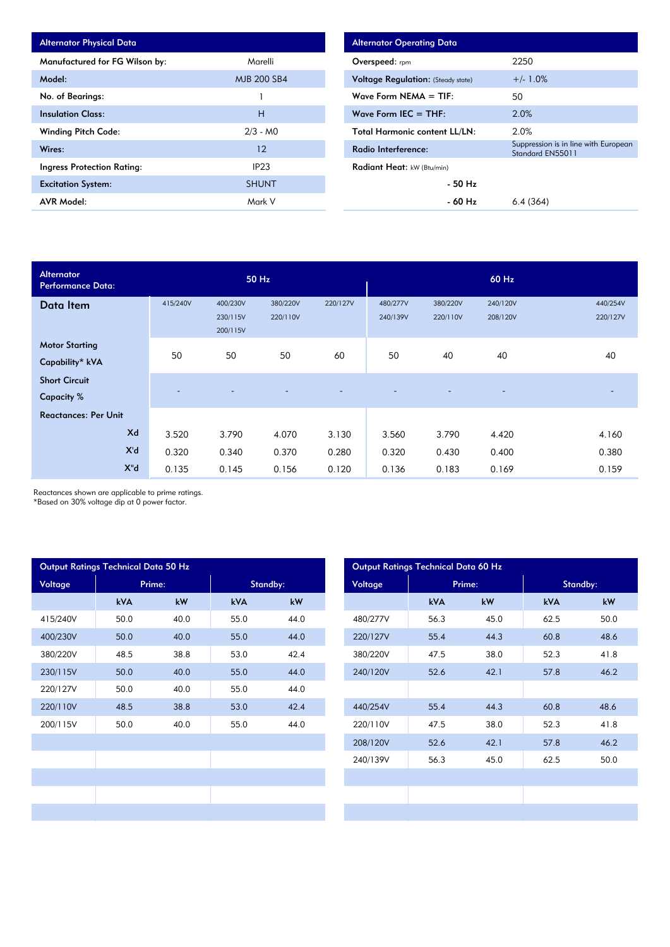| <b>Alternator Physical Data</b>   |                    |
|-----------------------------------|--------------------|
| Manufactured for FG Wilson by:    | Marelli            |
| Model:                            | <b>MJB 200 SB4</b> |
| No. of Bearings:                  |                    |
| <b>Insulation Class:</b>          | н                  |
| <b>Winding Pitch Code:</b>        | $2/3 - MO$         |
| Wires:                            | 12                 |
| <b>Ingress Protection Rating:</b> | IP <sub>23</sub>   |
| <b>Excitation System:</b>         | <b>SHUNT</b>       |
| <b>AVR Model:</b>                 | Mark V             |

| <b>Alternator Operating Data</b>          |                                                          |  |  |  |  |
|-------------------------------------------|----------------------------------------------------------|--|--|--|--|
| <b>Overspeed:</b> rpm                     | 2250                                                     |  |  |  |  |
| <b>Voltage Regulation:</b> (Steady state) | $+/- 1.0%$                                               |  |  |  |  |
| Wave Form NEMA $=$ TIF:                   | 50                                                       |  |  |  |  |
| Wave Form IEC $=$ THF:                    | 2.0%                                                     |  |  |  |  |
| <b>Total Harmonic content LL/LN:</b>      | 2.0%                                                     |  |  |  |  |
| Radio Interference:                       | Suppression is in line with European<br>Standard EN55011 |  |  |  |  |
| Radiant Heat: kW (Btu/min)                |                                                          |  |  |  |  |
| $-50$ Hz                                  |                                                          |  |  |  |  |
| - 60 Hz                                   | 6.4(364)                                                 |  |  |  |  |

| <b>Alternator</b><br><b>Performance Data:</b> |          |                                  | 50 Hz                |          |                      |                      | 60 Hz                |                      |
|-----------------------------------------------|----------|----------------------------------|----------------------|----------|----------------------|----------------------|----------------------|----------------------|
| Data Item                                     | 415/240V | 400/230V<br>230/115V<br>200/115V | 380/220V<br>220/110V | 220/127V | 480/277V<br>240/139V | 380/220V<br>220/110V | 240/120V<br>208/120V | 440/254V<br>220/127V |
| <b>Motor Starting</b><br>Capability* kVA      | 50       | 50                               | 50                   | 60       | 50                   | 40                   | 40                   | 40                   |
| <b>Short Circuit</b><br><b>Capacity %</b>     |          |                                  |                      |          |                      |                      |                      |                      |
| <b>Reactances: Per Unit</b>                   |          |                                  |                      |          |                      |                      |                      |                      |
| Xd                                            | 3.520    | 3.790                            | 4.070                | 3.130    | 3.560                | 3.790                | 4.420                | 4.160                |
| X'd                                           | 0.320    | 0.340                            | 0.370                | 0.280    | 0.320                | 0.430                | 0.400                | 0.380                |
| $X^{\mathsf{H}}$                              | 0.135    | 0.145                            | 0.156                | 0.120    | 0.136                | 0.183                | 0.169                | 0.159                |

Reactances shown are applicable to prime ratings.

\*Based on 30% voltage dip at 0 power factor.

| Output Ratings Technical Data 50 Hz |            |      |            |      |         |          |            | Output Ratings Technical Data 60 Hz |            |
|-------------------------------------|------------|------|------------|------|---------|----------|------------|-------------------------------------|------------|
| Voltage                             | Prime:     |      | Standby:   |      | Voltage |          | Prime:     | Standby:                            |            |
|                                     | <b>kVA</b> | kW   | <b>kVA</b> | kW   |         |          | <b>kVA</b> | kW                                  | <b>kVA</b> |
| 415/240V                            | 50.0       | 40.0 | 55.0       | 44.0 |         | 480/277V | 56.3       | 45.0                                | 62.5       |
| 400/230V                            | 50.0       | 40.0 | 55.0       | 44.0 |         | 220/127V | 55.4       | 44.3                                | 60.8       |
| 380/220V                            | 48.5       | 38.8 | 53.0       | 42.4 |         | 380/220V | 47.5       | 38.0                                | 52.3       |
| 230/115V                            | 50.0       | 40.0 | 55.0       | 44.0 |         | 240/120V | 52.6       | 42.1                                | 57.8       |
| 220/127V                            | 50.0       | 40.0 | 55.0       | 44.0 |         |          |            |                                     |            |
| 220/110V                            | 48.5       | 38.8 | 53.0       | 42.4 |         | 440/254V | 55.4       | 44.3                                | 60.8       |
| 200/115V                            | 50.0       | 40.0 | 55.0       | 44.0 |         | 220/110V | 47.5       | 38.0                                | 52.3       |
|                                     |            |      |            |      |         | 208/120V | 52.6       | 42.1                                | 57.8       |
|                                     |            |      |            |      |         | 240/139V | 56.3       | 45.0                                | 62.5       |
|                                     |            |      |            |      |         |          |            |                                     |            |
|                                     |            |      |            |      |         |          |            |                                     |            |
|                                     |            |      |            |      |         |          |            |                                     |            |